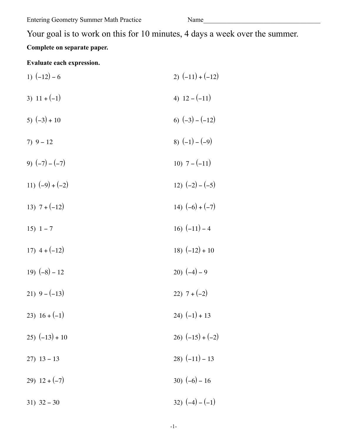Name

# **Complete on separate paper.**

# **Evaluate each expression.**

| 1) $(-12) - 6$      | 2) $(-11) + (-12)$ |
|---------------------|--------------------|
| 3) $11 + (-1)$      | 4) $12 - (-11)$    |
| 5) $(-3) + 10$      | 6) $(-3) - (-12)$  |
| $7) 9 - 12$         | 8) $(-1) - (-9)$   |
| 9) $(-7) - (-7)$    | 10) $7-(-11)$      |
| 11) $(-9) + (-2)$   | 12) $(-2) - (-5)$  |
| 13) $7 + (-12)$     | 14) $(-6) + (-7)$  |
| 15) $1 - 7$         | 16) $(-11) - 4$    |
| 17) $4+(-12)$       | 18) $(-12) + 10$   |
| 19) $(-8) - 12$     | 20) $(-4) - 9$     |
| 21) $9 - (-13)$     | 22) $7+(-2)$       |
| 23) $16 + (-1)$     | 24) $(-1) + 13$    |
| $(25)$ $(-13) + 10$ | 26) $(-15) + (-2)$ |
| $27)$ 13 - 13       | 28) $(-11) - 13$   |
| 29) $12 + (-7)$     | 30) $(-6) - 16$    |
| $31)$ 32 - 30       | 32) $(-4) - (-1)$  |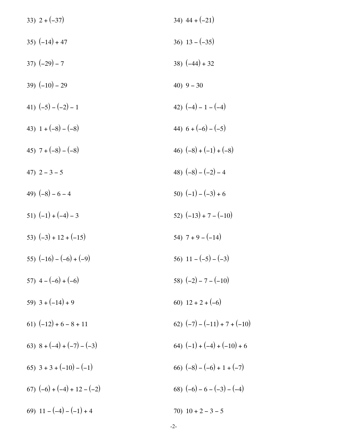| 33) $2 + (-37)$               | 34) $44 + (-21)$               |
|-------------------------------|--------------------------------|
| $35) (-14) + 47$              | 36) $13 - (-35)$               |
| $37) (-29) - 7$               | 38) $(-44) + 32$               |
| 39) $(-10) - 29$              | 40) $9 - 30$                   |
| 41) $(-5) - (-2) - 1$         | 42) $(-4) - 1 - (-4)$          |
| 43) $1 + (-8) - (-8)$         | 44) $6 + (-6) - (-5)$          |
| 45) $7 + (-8) - (-8)$         | 46) $(-8) + (-1) + (-8)$       |
| 47) $2 - 3 - 5$               | 48) $(-8) - (-2) - 4$          |
| 49) $(-8) - 6 - 4$            | 50) $(-1) - (-3) + 6$          |
| 51) $(-1) + (-4) - 3$         | 52) $(-13) + 7 - (-10)$        |
| 53) $(-3) + 12 + (-15)$       | 54) $7 + 9 - (-14)$            |
| 55) $(-16) - (-6) + (-9)$     | 56) $11 - (-5) - (-3)$         |
| 57) $4-(-6)+(-6)$             | 58) $(-2) - 7 - (-10)$         |
| 59) $3 + (-14) + 9$           | 60) $12 + 2 + (-6)$            |
| 61) $(-12) + 6 - 8 + 11$      | 62) $(-7) - (-11) + 7 + (-10)$ |
| 63) $8 + (-4) + (-7) - (-3)$  | 64) $(-1) + (-4) + (-10) + 6$  |
| 65) $3 + 3 + (-10) - (-1)$    | 66) $(-8) - (-6) + 1 + (-7)$   |
| 67) $(-6) + (-4) + 12 - (-2)$ | 68) $(-6) - 6 - (-3) - (-4)$   |
| 69) $11 - (-4) - (-1) + 4$    | 70) $10 + 2 - 3 - 5$           |
|                               | $-2-$                          |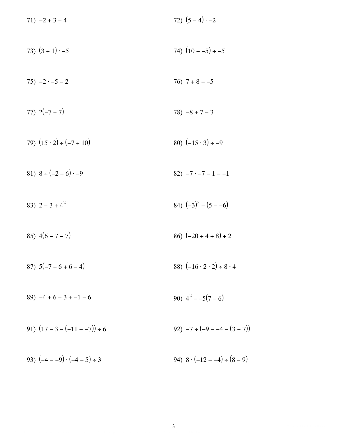| $71) -2 + 3 + 4$                      | 72) $(5-4) -2$                             |
|---------------------------------------|--------------------------------------------|
| 73) $(3 + 1) \cdot -5$                | 74) $(10 - -5) \div -5$                    |
| $75) -2 \cdot -5 - 2$                 | $76)$ 7 + 8 - -5                           |
| 77) $2(-7-7)$                         | $78) -8 + 7 - 3$                           |
| 79) $(15 \cdot 2) \div (-7 + 10)$     | 80) $(-15 \cdot 3) \div -9$                |
| 81) $8 \div (-2 - 6) \cdot -9$        | $82) -7 -7 - 1 - 1$                        |
| 83) $2 - 3 + 4^2$                     | 84) $(-3)^3 - (5 - -6)$                    |
| 85) $4(6 - 7 - 7)$                    | 86) $(-20 + 4 + 8) \div 2$                 |
| 87) $5(-7 + 6 + 6 - 4)$               | 88) $(-16 \cdot 2 \cdot 2) \div 8 \cdot 4$ |
| $89) -4 + 6 + 3 + -1 - 6$             | 90) $4^2 - -5(7 - 6)$                      |
| 91) $(17 - 3 - (-11 - 7)) \div 6$     | 92) $-7 \div (-9 - -4 - (3 - 7))$          |
| 93) $(-4 - -9) \cdot (-4 - 5) \div 3$ | 94) $8 \cdot (-12 - -4) \div (8 - 9)$      |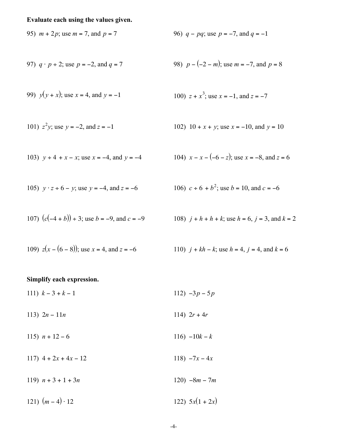## Evaluate each using the values given.

95) 
$$
m + 2p
$$
; use  $m = 7$ , and  $p = 7$ 

97) 
$$
q \cdot p \div 2
$$
; use  $p = -2$ , and  $q = 7$ 

99) 
$$
y(y + x)
$$
; use  $x = 4$ , and  $y = -1$ 

101) 
$$
z^2y
$$
; use  $y = -2$ , and  $z = -1$ 

103) 
$$
y \div 4 + x - x
$$
; use  $x = -4$ , and  $y = -4$ 

105) 
$$
y \cdot z \div 6 - y
$$
; use  $y = -4$ , and  $z = -6$ 

107) 
$$
(c(-4 + b)) \div 3
$$
; use  $b = -9$ , and  $c = -9$ 

109)  $z(x - (6 - 8))$ ; use  $x = 4$ , and  $z = -6$ 

96) 
$$
q - pq
$$
; use  $p = -7$ , and  $q = -1$ 

98) 
$$
p - (-2 - m)
$$
; use  $m = -7$ , and  $p = 8$ 

100) 
$$
z + x^3
$$
; use  $x = -1$ , and  $z = -7$ 

102) 
$$
10 + x + y
$$
; use  $x = -10$ , and  $y = 10$ 

104) 
$$
x - x - (-6 - z)
$$
; use  $x = -8$ , and  $z = 6$ 

106) 
$$
c \div 6 + b^2
$$
; use  $b = 10$ , and  $c = -6$ 

108) 
$$
j + h + h + k
$$
; use  $h = 6$ ,  $j = 3$ , and  $k = 2$ 

110) 
$$
j + kh - k
$$
; use  $h = 4$ ,  $j = 4$ , and  $k = 6$ 

#### Simplify each expression.

111)  $k-3+k-1$ 112)  $-3p - 5p$ 

- 114)  $2r + 4r$ 113)  $2n - 11n$
- 115)  $n + 12 6$ 116)  $-10k - k$
- 117)  $4 + 2x + 4x 12$ 118)  $-7x - 4x$
- 119)  $n + 3 + 1 + 3n$  $120) -8m - 7m$
- 121)  $(m-4) \cdot 12$ 122)  $5x(1 + 2x)$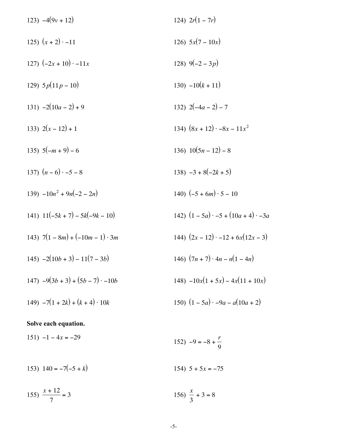| 123) $-4(9v + 12)$                      | 124) $2r(1 - 7r)$                            |
|-----------------------------------------|----------------------------------------------|
| 125) $(x + 2) \cdot -11$                | 126) $5x(7-10x)$                             |
| 127) $(-2x+10)$ $-11x$                  | 128) $9(-2-3p)$                              |
| 129) $5p(11p-10)$                       | $130) -10(k + 11)$                           |
| 131) $-2(10a - 2) + 9$                  | 132) $2(-4a-2)-7$                            |
| 133) $2(x-12)+1$                        | 134) $(8x + 12) \cdot -8x - 11x^2$           |
| 135) $5(-m+9)-6$                        | 136) $10(5n - 12) - 8$                       |
| 137) $(n-6)\cdot -5-8$                  | 138) $-3 + 8(-2k + 5)$                       |
| $139) -10n^2 + 9n(-2 - 2n)$             | 140) $(-5 + 6m) \cdot 5 - 10$                |
| 141) $11(-5k + 7) - 5k(-9k - 10)$       | 142) $(1-5a) \cdot -5 + (10a + 4) \cdot -3a$ |
| 143) $7(1 - 8m) + (-10m - 1) \cdot 3m$  | 144) $(2x-12) \cdot -12 + 6x(12x-3)$         |
| $145) -2(10b + 3) - 11(7 - 3b)$         | 146) $(7n + 7) \cdot 4n - n(1 - 4n)$         |
| $147) -9(3b + 3) + (5b - 7) \cdot -10b$ | $148) -10x(1 + 5x) - 4x(11 + 10x)$           |
| 149) $-7(1+2k) + (k+4) \cdot 10k$       | 150) $(1-5a) -9a - a(10a + 2)$               |
|                                         |                                              |

## Solve each equation.

 $151) -1 - 4x = -29$ 152)  $-9 = -8 + \frac{r}{9}$ 

153)  $140 = -7(-5 + k)$ 154)  $5 + 5x = -75$ 

155)  $\frac{x+12}{7} = 3$ 156)  $\frac{x}{3} + 3 = 8$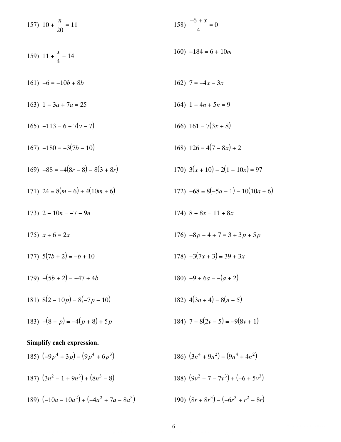157) 
$$
10 + \frac{n}{20} = 11
$$
  
\n158)  $\frac{-6 + x}{4} = 0$   
\n159)  $11 + \frac{x}{4} = 14$   
\n160)  $-184 = 6 + 10m$   
\n161)  $-6 = -10b + 8b$   
\n162)  $7 = -4x - 3x$   
\n163)  $1 - 3a + 7a = 25$   
\n164)  $1 - 4n + 5n = 9$   
\n165)  $-113 = 6 + 7(v - 7)$   
\n166)  $161 = 7(3x + 8)$   
\n167)  $-180 = -3(7b - 10)$   
\n168)  $126 = 4(7 - 8x) + 2$   
\n169)  $-88 = -4(8r - 8) - 8(3 + 8r)$   
\n170)  $3(x + 10) - 2(1 - 10x) = 97$   
\n171)  $24 = 8(m - 6) + 4(10m + 6)$   
\n172)  $-68 = 8(-5a - 1) - 10(10a + 6)$   
\n173)  $2 - 10n = -7 - 9n$   
\n174)  $8 + 8x = 11 + 8x$   
\n175)  $x + 6 = 2x$   
\n176)  $-8p - 4 + 7 = 3 + 3p + 5p$   
\n177)  $5(7b + 2) = -b + 10$   
\n178)  $-3(7x + 3) = 39 + 3x$   
\n179)  $-(5b + 2) = -47 + 4b$   
\n180)  $-9 + 6a = -(a + 2)$   
\n181)  $8(2 - 10p) = 8(-7p - 10)$   
\n182)  $4(3n + 4) = 8(n - 5)$   
\n183)  $(9p^2 + 7p^2) + (-6 + 5p^3)$   
\n184)  $7 - 8(2v - 5)$ 

 $-6-$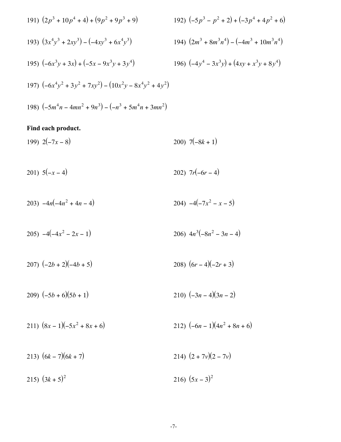191) 
$$
(2p^3 + 10p^4 + 4) + (9p^2 + 9p^3 + 9)
$$
  
\n192)  $(-5p^3 - p^2 + 2) + (-3p^4 + 4p^2 + 6)$   
\n193)  $(3x^4y^3 + 2xy^3) - (-4xy^3 + 6x^4y^3)$   
\n194)  $(2m^3 + 8m^3n^4) - (-4m^3 + 10m^3n^4)$   
\n195)  $(-6x^3y + 3x) + (-5x - 9x^3y + 3y^4)$   
\n196)  $(-4y^4 - 3x^3y) + (4xy + x^3y + 8y^4)$   
\n197)  $(-6x^4y^2 + 3y^2 + 7xy^2) - (10x^2y - 8x^4y^2 + 4y^2)$   
\n198)  $(-5m^4n - 4mn^2 + 9n^3) - (-n^3 + 5m^4n + 3mn^2)$ 

#### Find each product.

199)  $2(-7x-8)$ 200)  $7(-8k + 1)$ 

- 201)  $5(-x-4)$ 202)  $7r(-6r-4)$
- 204)  $-4(-7x^2 x 5)$ 203)  $-4n(-4n^2+4n-4)$
- 205)  $-4(-4x^2 2x 1)$ 206)  $4n^3(-8n^2-3n-4)$
- 207)  $(-2b + 2)(-4b + 5)$ 208)  $(6r-4)(-2r+3)$
- 210)  $(-3n-4)(3n-2)$ 209)  $(-5b+6)(5b+1)$
- 211)  $(8x-1)(-5x^2+8x+6)$ 212)  $(-6n - 1)(4n^2 + 8n + 6)$
- 214)  $(2 + 7v)(2 7v)$ 213)  $(6k - 7)(6k + 7)$
- 215)  $(3k+5)^2$ 216)  $(5x-3)^2$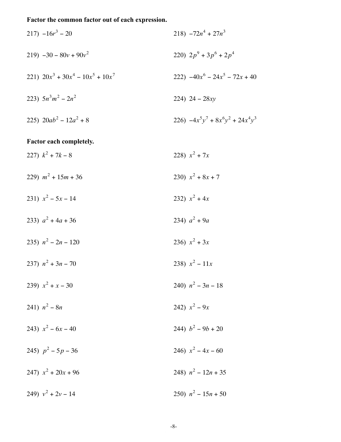# Factor the common factor out of each expression.

217) 
$$
-16r^3 - 20
$$
  
\n218)  $-72n^4 + 27n^3$   
\n219)  $-30 - 80v + 90v^2$   
\n220)  $2p^9 + 3p^6 + 2p^4$   
\n221)  $20x^3 + 30x^4 - 10x^5 + 10x^7$   
\n222)  $-40x^6 - 24x^5 - 72x + 40$   
\n223)  $5n^3m^2 - 2n^2$   
\n224)  $24 - 28xy$   
\n225)  $20ab^2 - 12a^2 + 8$   
\n226)  $-4x^5y^7 + 8x^6y^2 + 24x^4y^3$   
\nFactor each completely.  
\n227)  $k^2 + 7k - 8$   
\n228)  $x^2 + 7x$   
\n229)  $m^2 + 15m + 36$   
\n230)  $x^2 + 8x + 7$   
\n231)  $x^2 - 5x - 14$   
\n232)  $x^2 + 4x$   
\n233)  $a^2 + 4a + 36$   
\n234)  $a^2 + 9a$   
\n235)  $n^2 - 2n - 120$   
\n236)  $x^2 + 3x$   
\n237)  $n^2 + 3n - 70$   
\n238)  $x^2 - 11x$   
\n239)  $x^2 + x - 30$   
\n241)  $n^2 - 8n$   
\n243)  $x^2 - 6x - 40$   
\n244)  $b^2 - 9b + 20$   
\n245)  $p^2 - 5p - 36$   
\n246)  $x^2 - 4x - 60$   
\n247)  $x^2 + 20x + 96$   
\n248)  $n^2 - 12n + 35$   
\n249)  $v^2 + 2v - 14$   
\n250)  $n^2$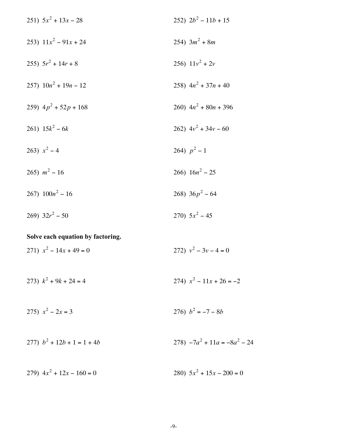251) 
$$
5x^2 + 13x - 28
$$
  
\n252)  $2b^2 - 11b + 15$   
\n253)  $11x^2 - 91x + 24$   
\n255)  $5r^2 + 14r + 8$   
\n256)  $11v^2 + 2v$   
\n257)  $10n^2 + 19n - 12$   
\n258)  $4n^2 + 37n + 40$   
\n259)  $4p^2 + 52p + 168$   
\n261)  $15k^2 - 6k$   
\n262)  $4v^2 + 34v - 60$   
\n263)  $x^2 - 4$   
\n264)  $p^2 - 1$   
\n265)  $m^2 - 16$   
\n266)  $16n^2 - 25$   
\n267)  $100n^2 - 16$   
\n268)  $36p^2 - 64$   
\n269)  $32r^2 - 50$   
\n270)  $5x^2 - 45$ 

## Solve each equation by factoring.

271)  $x^2 - 14x + 49 = 0$ 272)  $v^2 - 3v - 4 = 0$ 

273)  $k^2 + 9k + 24 = 4$ 274)  $x^2 - 11x + 26 = -2$ 

275)  $x^2 - 2x = 3$ 276)  $b^2 = -7 - 8b$ 

277) 
$$
b^2 + 12b + 1 = 1 + 4b
$$
  
278)  $-7a^2 + 11a = -8a^2 - 24$ 

279)  $4x^2 + 12x - 160 = 0$ 280)  $5x^2 + 15x - 200 = 0$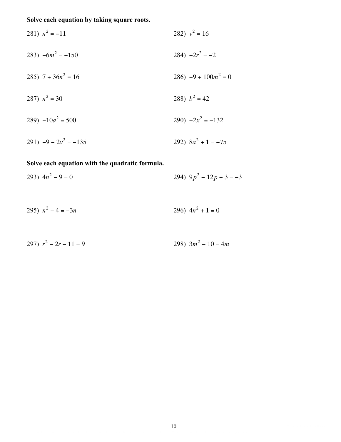# Solve each equation by taking square roots.

281) 
$$
n^2 = -11
$$
  
\n282)  $v^2 = 16$   
\n283)  $-6m^2 = -150$   
\n284)  $-2r^2 = -2$   
\n285)  $7 + 36n^2 = 16$   
\n286)  $-9 + 100m^2 = 0$   
\n287)  $n^2 = 30$   
\n288)  $b^2 = 42$   
\n290)  $-2x^2 = -132$   
\n291)  $-9 - 2v^2 = -135$   
\n292)  $8a^2 + 1 = -75$ 

## Solve each equation with the quadratic formula.

293) 
$$
4n^2 - 9 = 0
$$
  
294)  $9p^2 - 12p + 3 = -3$ 

$$
295) \ \ n^2 - 4 = -3n \ \ 296) \ \ 4n^2 + 1 = 0
$$

$$
297) r2 - 2r - 11 = 9
$$
 298)  $3m2 - 10 = 4m$ 

$$
f_{\rm{max}}(x)
$$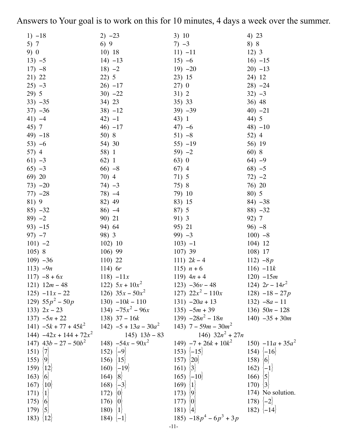Answers to Your goal is to work on this for 10 minutes, 4 days a week over the summer.

| $1) -18$                          | $2) -23$                                                               | 3) 10                                       | 4) 23             |
|-----------------------------------|------------------------------------------------------------------------|---------------------------------------------|-------------------|
| 5) 7                              | 6)9                                                                    | $7) -3$                                     | 8) 8              |
| 9) 0                              | 10)18                                                                  | $11) -11$                                   | 12)3              |
| $13) -5$                          | $14) -13$                                                              | $15) -6$                                    | $16) -15$         |
| $17) -8$                          | $18) -2$                                                               | $19) -20$                                   | $20) -13$         |
|                                   |                                                                        |                                             |                   |
| 21) 22                            | 22) 5                                                                  | 23) 15                                      | 24) 12            |
| $25) -3$                          | $26) -17$                                                              | 27)0                                        | $28) -24$         |
| 29) 5                             | $30) -22$                                                              | 31) 2                                       | $32) -3$          |
| $33) -35$                         | 34) 23                                                                 | 35) 33                                      | 36) 48            |
| $37) -36$                         | $38) -12$                                                              | $39) - 39$                                  | $40) -21$         |
| $41) -4$                          | $42) -1$                                                               | 43) 1                                       | 44) 5             |
| 45) 7                             | $46) -17$                                                              | $47) -6$                                    | $48) -10$         |
| $(49) -18$                        | 50) 8                                                                  | $51) - 8$                                   | 52) 4             |
| $53) -6$                          | 54) 30                                                                 | $55) -19$                                   | 56) 19            |
| 57) 4                             | 58) 1                                                                  | $59) -2$                                    | 60)8              |
| 61) $-3$                          | 62)1                                                                   | 63)0                                        | $64) -9$          |
| $65) -3$                          | $66$ ) $-8$                                                            | $67)$ 4                                     | $68) -5$          |
| 69) 20                            | 70) 4                                                                  | 71) 5                                       | $72) -2$          |
| $73) -20$                         | $74) -3$                                                               | 75) 8                                       | 76) 20            |
| $77) -28$                         | $78) -4$                                                               | 79) 10                                      | 80) 5             |
| 81) 9                             | 82) 49                                                                 | 83) 15                                      | $84) -38$         |
| $85) -32$                         | $86) -4$                                                               | 87) 5                                       | $88) -32$         |
| $89) -2$                          | 90) 21                                                                 | 91) 3                                       | 92) 7             |
| $93) -15$                         | 94) 64                                                                 | 95) 21                                      | $96 - 8$          |
| $97) -7$                          | 98) 3                                                                  | $99) -3$                                    | $100$ ) $-8$      |
| $101) -2$                         | 102)10                                                                 | $103) -1$                                   | 104) 12           |
| 105)8                             | $106)$ 99                                                              | 107)39                                      | 108) 17           |
| $109) -36$                        | $110)$ 22                                                              | 111) $2k-4$                                 | 112) $-8p$        |
| 113) $-9n$                        | 114) $6r$                                                              | 115) $n + 6$                                | $116) -11k$       |
| $117) -8 + 6x$                    | $118) -11x$                                                            | 119) $4n + 4$                               | $120) - 15m$      |
| 121) $12m - 48$ 122) $5x + 10x^2$ |                                                                        | 123) $-36v - 48$ 124) $2r - 14r^2$          |                   |
| $125) -11x - 22$                  | 126) $35x - 50x^2$                                                     | 127) $22x^2 - 110x$                         | 128) $-18 - 27p$  |
| 129) $55p^2 - 50p$                | $130) - 10k - 110$                                                     | $131) -20a + 13$ $132) -8a - 11$            |                   |
| 133) $2x - 23$                    | 134) $-75x^2 - 96x$                                                    | $135) -5m + 39$                             | 136) $50n - 128$  |
| $137) -5n + 22$ 138) $37 - 16k$   |                                                                        | $139) -28n^2 - 18n$ $140) -35 + 30m$        |                   |
|                                   | 141) $-5k + 77 + 45k^2$ 142) $-5 + 13a - 30a^2$ 143) $7 - 59m - 30m^2$ |                                             |                   |
| 144) $-42x + 144 + 72x^2$         | 145) $13b - 83$                                                        | 146) $32n^2 + 27n$                          |                   |
| 147) $43b - 27 - 50b^2$           | 148) $-54x - 90x^2$                                                    | 149) $-7 + 26k + 10k^2$ 150) $-11a + 35a^2$ |                   |
| 151) $\{7\}$                      | 152) $\{-9\}$                                                          | 153) $\{-15\}$                              | $154)$ $-16$      |
| 155) $ 9 $                        | 156) $\{15\}$                                                          | 157) $ 20 $                                 | 158) $ 6 $        |
|                                   | 160) $\{-19\}$                                                         |                                             |                   |
| 159) $ 12 $                       |                                                                        | 161) $ 3 $                                  | 162) $\{-1\}$     |
| $163)$ {6}                        | 164) $ 8 $                                                             | 165) $\{-10\}$                              | 166) $ 5 $        |
| 167) $\{10\}$                     | 168) $\{-3\}$                                                          | 169) $ 1 $                                  | 170) $ 3 $        |
| 171) $\{1\}$                      | 172) $ 0 $                                                             | 173) $\{9\}$                                | 174) No solution. |
| 175) $ 6 $                        | 176) $ 0 $                                                             | 177) $ 0 $                                  | 178) $\{-2\}$     |
| 179) $ 5 $                        | 180) $ 1 $                                                             | 181) $ 4 $                                  | 182) $\{-14\}$    |
| 183) $\{12\}$                     | 184) $\{-1\}$                                                          | 185) $-18p^4 - 6p^3 + 3p$                   |                   |
|                                   |                                                                        | $-11-$                                      |                   |